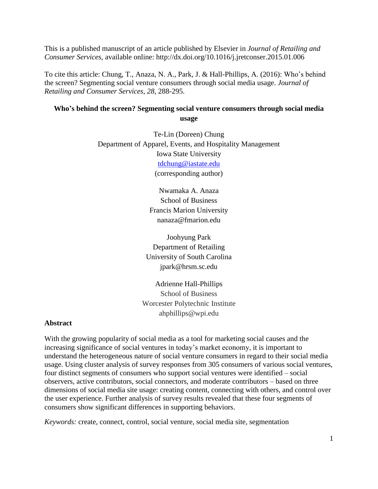This is a published manuscript of an article published by Elsevier in *Journal of Retailing and Consumer Services*, available online:<http://dx.doi.org/10.1016/j.jretconser.2015.01.006>

To cite this article: Chung, T., Anaza, N. A., Park, J. & Hall-Phillips, A. (2016): Who's behind the screen? Segmenting social venture consumers through social media usage. *Journal of Retailing and Consumer Services, 28*, 288-295.

# **Who's behind the screen? Segmenting social venture consumers through social media usage**

Te-Lin (Doreen) Chung Department of Apparel, Events, and Hospitality Management Iowa State University [tdchung@iastate.edu](mailto:tdchung@iastate.edu) (corresponding author)

> Nwamaka A. Anaza School of Business Francis Marion University nanaza@fmarion.edu

Joohyung Park Department of Retailing University of South Carolina jpark@hrsm.sc.edu

Adrienne Hall-Phillips School of Business Worcester Polytechnic Institute ahphillips@wpi.edu

## **Abstract**

With the growing popularity of social media as a tool for marketing social causes and the increasing significance of social ventures in today's market economy, it is important to understand the heterogeneous nature of social venture consumers in regard to their social media usage. Using cluster analysis of survey responses from 305 consumers of various social ventures, four distinct segments of consumers who support social ventures were identified – social observers, active contributors, social connectors, and moderate contributors – based on three dimensions of social media site usage: creating content, connecting with others, and control over the user experience. Further analysis of survey results revealed that these four segments of consumers show significant differences in supporting behaviors.

*Keywords:* create, connect, control, social venture, social media site, segmentation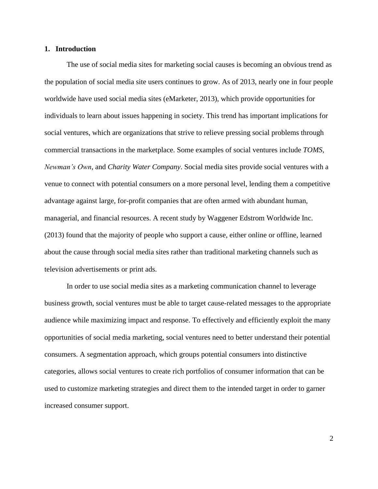## **1. Introduction**

The use of social media sites for marketing social causes is becoming an obvious trend as the population of social media site users continues to grow. As of 2013, nearly one in four people worldwide have used social media sites (eMarketer, 2013), which provide opportunities for individuals to learn about issues happening in society. This trend has important implications for social ventures, which are organizations that strive to relieve pressing social problems through commercial transactions in the marketplace. Some examples of social ventures include *TOMS*, *Newman's Own*, and *Charity Water Company*. Social media sites provide social ventures with a venue to connect with potential consumers on a more personal level, lending them a competitive advantage against large, for-profit companies that are often armed with abundant human, managerial, and financial resources. A recent study by Waggener Edstrom Worldwide Inc. (2013) found that the majority of people who support a cause, either online or offline, learned about the cause through social media sites rather than traditional marketing channels such as television advertisements or print ads.

In order to use social media sites as a marketing communication channel to leverage business growth, social ventures must be able to target cause-related messages to the appropriate audience while maximizing impact and response. To effectively and efficiently exploit the many opportunities of social media marketing, social ventures need to better understand their potential consumers. A segmentation approach, which groups potential consumers into distinctive categories, allows social ventures to create rich portfolios of consumer information that can be used to customize marketing strategies and direct them to the intended target in order to garner increased consumer support.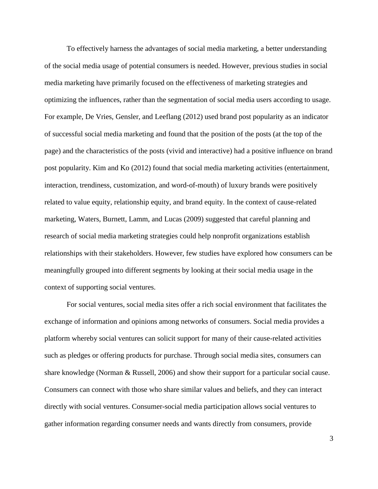To effectively harness the advantages of social media marketing, a better understanding of the social media usage of potential consumers is needed. However, previous studies in social media marketing have primarily focused on the effectiveness of marketing strategies and optimizing the influences, rather than the segmentation of social media users according to usage. For example, De Vries, Gensler, and Leeflang (2012) used brand post popularity as an indicator of successful social media marketing and found that the position of the posts (at the top of the page) and the characteristics of the posts (vivid and interactive) had a positive influence on brand post popularity. Kim and Ko (2012) found that social media marketing activities (entertainment, interaction, trendiness, customization, and word-of-mouth) of luxury brands were positively related to value equity, relationship equity, and brand equity. In the context of cause-related marketing, Waters, Burnett, Lamm, and Lucas (2009) suggested that careful planning and research of social media marketing strategies could help nonprofit organizations establish relationships with their stakeholders. However, few studies have explored how consumers can be meaningfully grouped into different segments by looking at their social media usage in the context of supporting social ventures.

For social ventures, social media sites offer a rich social environment that facilitates the exchange of information and opinions among networks of consumers. Social media provides a platform whereby social ventures can solicit support for many of their cause-related activities such as pledges or offering products for purchase. Through social media sites, consumers can share knowledge (Norman & Russell, 2006) and show their support for a particular social cause. Consumers can connect with those who share similar values and beliefs, and they can interact directly with social ventures. Consumer-social media participation allows social ventures to gather information regarding consumer needs and wants directly from consumers, provide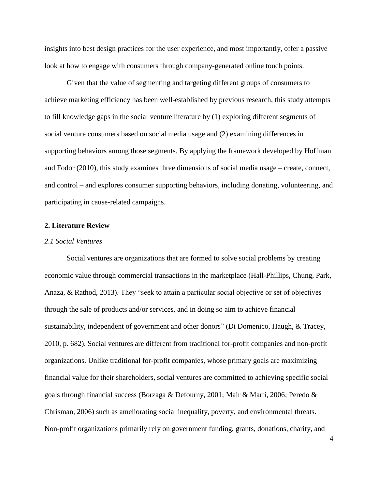insights into best design practices for the user experience, and most importantly, offer a passive look at how to engage with consumers through company-generated online touch points.

Given that the value of segmenting and targeting different groups of consumers to achieve marketing efficiency has been well-established by previous research, this study attempts to fill knowledge gaps in the social venture literature by (1) exploring different segments of social venture consumers based on social media usage and (2) examining differences in supporting behaviors among those segments. By applying the framework developed by Hoffman and Fodor (2010), this study examines three dimensions of social media usage – create, connect, and control – and explores consumer supporting behaviors, including donating, volunteering, and participating in cause-related campaigns.

## **2. Literature Review**

#### *2.1 Social Ventures*

Social ventures are organizations that are formed to solve social problems by creating economic value through commercial transactions in the marketplace (Hall-Phillips, Chung, Park, Anaza, & Rathod, 2013). They "seek to attain a particular social objective or set of objectives through the sale of products and/or services, and in doing so aim to achieve financial sustainability, independent of government and other donors" (Di Domenico, Haugh, & Tracey, 2010, p. 682). Social ventures are different from traditional for-profit companies and non-profit organizations. Unlike traditional for-profit companies, whose primary goals are maximizing financial value for their shareholders, social ventures are committed to achieving specific social goals through financial success (Borzaga & Defourny, 2001; Mair & Marti, 2006; Peredo & Chrisman, 2006) such as ameliorating social inequality, poverty, and environmental threats. Non-profit organizations primarily rely on government funding, grants, donations, charity, and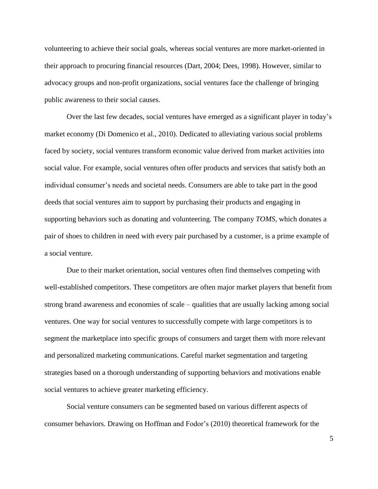volunteering to achieve their social goals, whereas social ventures are more market-oriented in their approach to procuring financial resources (Dart, 2004; Dees, 1998). However, similar to advocacy groups and non-profit organizations, social ventures face the challenge of bringing public awareness to their social causes.

Over the last few decades, social ventures have emerged as a significant player in today's market economy (Di Domenico et al., 2010). Dedicated to alleviating various social problems faced by society, social ventures transform economic value derived from market activities into social value. For example, social ventures often offer products and services that satisfy both an individual consumer's needs and societal needs. Consumers are able to take part in the good deeds that social ventures aim to support by purchasing their products and engaging in supporting behaviors such as donating and volunteering. The company *TOMS,* which donates a pair of shoes to children in need with every pair purchased by a customer, is a prime example of a social venture.

Due to their market orientation, social ventures often find themselves competing with well-established competitors. These competitors are often major market players that benefit from strong brand awareness and economies of scale – qualities that are usually lacking among social ventures. One way for social ventures to successfully compete with large competitors is to segment the marketplace into specific groups of consumers and target them with more relevant and personalized marketing communications. Careful market segmentation and targeting strategies based on a thorough understanding of supporting behaviors and motivations enable social ventures to achieve greater marketing efficiency.

Social venture consumers can be segmented based on various different aspects of consumer behaviors. Drawing on Hoffman and Fodor's (2010) theoretical framework for the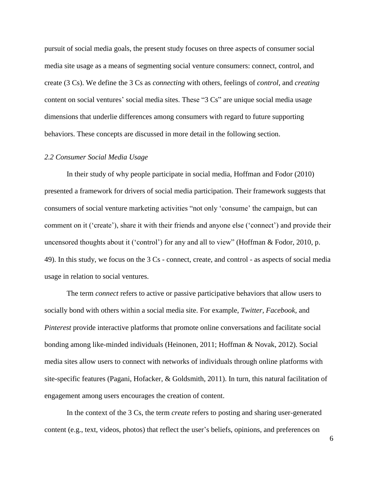pursuit of social media goals, the present study focuses on three aspects of consumer social media site usage as a means of segmenting social venture consumers: connect, control, and create (3 Cs). We define the 3 Cs as *connecting* with others, feelings of *control,* and *creating* content on social ventures' social media sites. These "3 Cs" are unique social media usage dimensions that underlie differences among consumers with regard to future supporting behaviors. These concepts are discussed in more detail in the following section.

#### *2.2 Consumer Social Media Usage*

In their study of why people participate in social media, Hoffman and Fodor (2010) presented a framework for drivers of social media participation. Their framework suggests that consumers of social venture marketing activities "not only 'consume' the campaign, but can comment on it ('create'), share it with their friends and anyone else ('connect') and provide their uncensored thoughts about it ('control') for any and all to view" (Hoffman & Fodor, 2010, p. 49). In this study, we focus on the 3 Cs - connect, create, and control - as aspects of social media usage in relation to social ventures.

The term *connect* refers to active or passive participative behaviors that allow users to socially bond with others within a social media site. For example, *Twitter, Facebook,* and *Pinterest* provide interactive platforms that promote online conversations and facilitate social bonding among like-minded individuals (Heinonen, 2011; Hoffman & Novak, 2012). Social media sites allow users to connect with networks of individuals through online platforms with site-specific features (Pagani, Hofacker, & Goldsmith, 2011). In turn, this natural facilitation of engagement among users encourages the creation of content.

In the context of the 3 Cs, the term *create* refers to posting and sharing user-generated content (e.g., text, videos, photos) that reflect the user's beliefs, opinions, and preferences on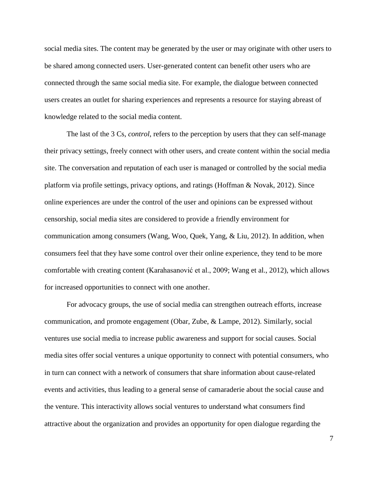social media sites. The content may be generated by the user or may originate with other users to be shared among connected users. User-generated content can benefit other users who are connected through the same social media site. For example, the dialogue between connected users creates an outlet for sharing experiences and represents a resource for staying abreast of knowledge related to the social media content.

The last of the 3 Cs, *control*, refers to the perception by users that they can self-manage their privacy settings, freely connect with other users, and create content within the social media site. The conversation and reputation of each user is managed or controlled by the social media platform via profile settings, privacy options, and ratings (Hoffman & Novak, 2012). Since online experiences are under the control of the user and opinions can be expressed without censorship, social media sites are considered to provide a friendly environment for communication among consumers (Wang, Woo, Quek, Yang, & Liu, 2012). In addition, when consumers feel that they have some control over their online experience, they tend to be more comfortable with creating content (Karahasanović et al., 2009; Wang et al., 2012), which allows for increased opportunities to connect with one another.

For advocacy groups, the use of social media can strengthen outreach efforts, increase communication, and promote engagement (Obar, Zube, & Lampe, 2012). Similarly, social ventures use social media to increase public awareness and support for social causes. Social media sites offer social ventures a unique opportunity to connect with potential consumers, who in turn can connect with a network of consumers that share information about cause-related events and activities, thus leading to a general sense of camaraderie about the social cause and the venture. This interactivity allows social ventures to understand what consumers find attractive about the organization and provides an opportunity for open dialogue regarding the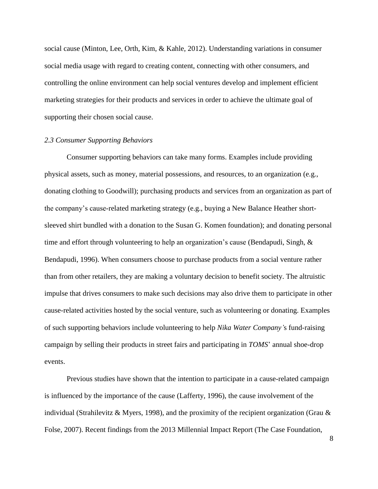social cause (Minton, Lee, Orth, Kim, & Kahle, 2012). Understanding variations in consumer social media usage with regard to creating content, connecting with other consumers, and controlling the online environment can help social ventures develop and implement efficient marketing strategies for their products and services in order to achieve the ultimate goal of supporting their chosen social cause.

#### *2.3 Consumer Supporting Behaviors*

Consumer supporting behaviors can take many forms. Examples include providing physical assets, such as money, material possessions, and resources, to an organization (e.g., donating clothing to Goodwill); purchasing products and services from an organization as part of the company's cause-related marketing strategy (e.g., buying a New Balance Heather shortsleeved shirt bundled with a donation to the Susan G. Komen foundation); and donating personal time and effort through volunteering to help an organization's cause (Bendapudi, Singh, & Bendapudi, 1996). When consumers choose to purchase products from a social venture rather than from other retailers, they are making a voluntary decision to benefit society. The altruistic impulse that drives consumers to make such decisions may also drive them to participate in other cause-related activities hosted by the social venture, such as volunteering or donating. Examples of such supporting behaviors include volunteering to help *Nika Water Company'*s fund-raising campaign by selling their products in street fairs and participating in *TOMS*' annual shoe-drop events.

Previous studies have shown that the intention to participate in a cause-related campaign is influenced by the importance of the cause (Lafferty, 1996), the cause involvement of the individual (Strahilevitz & Myers, 1998), and the proximity of the recipient organization (Grau & Folse, 2007). Recent findings from the 2013 Millennial Impact Report (The Case Foundation,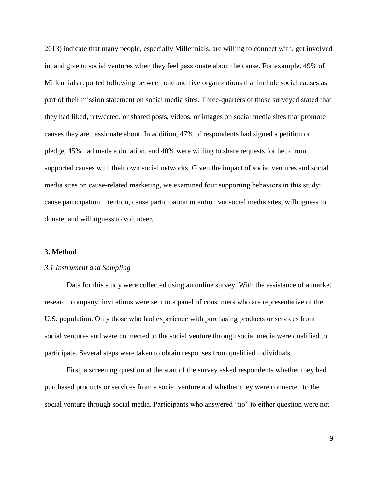2013) indicate that many people, especially Millennials, are willing to connect with, get involved in, and give to social ventures when they feel passionate about the cause. For example, 49% of Millennials reported following between one and five organizations that include social causes as part of their mission statement on social media sites. Three-quarters of those surveyed stated that they had liked, retweeted, or shared posts, videos, or images on social media sites that promote causes they are passionate about. In addition, 47% of respondents had signed a petition or pledge, 45% had made a donation, and 40% were willing to share requests for help from supported causes with their own social networks. Given the impact of social ventures and social media sites on cause-related marketing, we examined four supporting behaviors in this study: cause participation intention, cause participation intention via social media sites, willingness to donate, and willingness to volunteer.

## **3. Method**

#### *3.1 Instrument and Sampling*

Data for this study were collected using an online survey. With the assistance of a market research company, invitations were sent to a panel of consumers who are representative of the U.S. population. Only those who had experience with purchasing products or services from social ventures and were connected to the social venture through social media were qualified to participate. Several steps were taken to obtain responses from qualified individuals.

First, a screening question at the start of the survey asked respondents whether they had purchased products or services from a social venture and whether they were connected to the social venture through social media. Participants who answered "no" to either question were not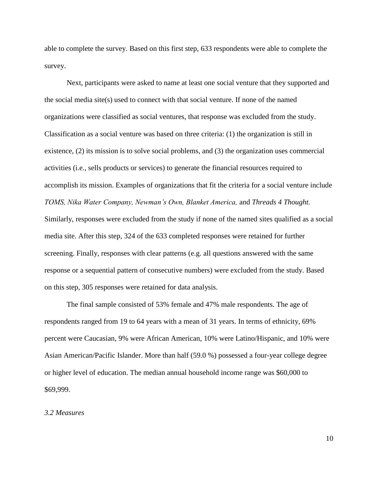able to complete the survey. Based on this first step, 633 respondents were able to complete the survey.

Next, participants were asked to name at least one social venture that they supported and the social media site(s) used to connect with that social venture. If none of the named organizations were classified as social ventures, that response was excluded from the study. Classification as a social venture was based on three criteria: (1) the organization is still in existence, (2) its mission is to solve social problems, and (3) the organization uses commercial activities (i.e., sells products or services) to generate the financial resources required to accomplish its mission. Examples of organizations that fit the criteria for a social venture include *TOMS, Nika Water Company, Newman's Own, Blanket America,* and *Threads 4 Thought.*  Similarly, responses were excluded from the study if none of the named sites qualified as a social media site. After this step, 324 of the 633 completed responses were retained for further screening. Finally, responses with clear patterns (e.g. all questions answered with the same response or a sequential pattern of consecutive numbers) were excluded from the study. Based on this step, 305 responses were retained for data analysis.

The final sample consisted of 53% female and 47% male respondents. The age of respondents ranged from 19 to 64 years with a mean of 31 years. In terms of ethnicity, 69% percent were Caucasian, 9% were African American, 10% were Latino/Hispanic, and 10% were Asian American/Pacific Islander. More than half (59.0 %) possessed a four-year college degree or higher level of education. The median annual household income range was \$60,000 to \$69,999.

#### *3.2 Measures*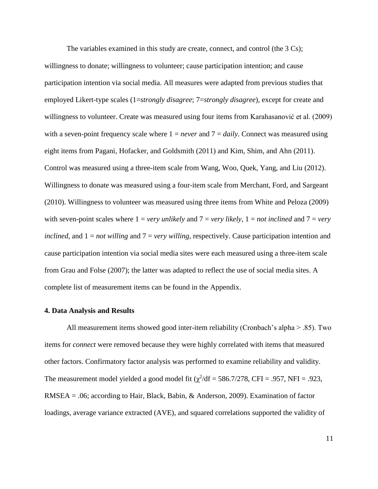The variables examined in this study are create, connect, and control (the 3 Cs); willingness to donate; willingness to volunteer; cause participation intention; and cause participation intention via social media. All measures were adapted from previous studies that employed Likert-type scales (1=*strongly disagree*; 7=*strongly disagree*), except for create and willingness to volunteer. Create was measured using four items from Karahasanović et al. (2009) with a seven-point frequency scale where  $1 = never$  and  $7 = daily$ . Connect was measured using eight items from Pagani, Hofacker, and Goldsmith (2011) and Kim, Shim, and Ahn (2011). Control was measured using a three-item scale from Wang, Woo, Quek, Yang, and Liu (2012). Willingness to donate was measured using a four-item scale from Merchant, Ford, and Sargeant (2010). Willingness to volunteer was measured using three items from White and Peloza (2009) with seven-point scales where  $1 = \text{very}$  *unlikely* and  $7 = \text{very}$  *likely*,  $1 = \text{not}$  *inclined* and  $7 = \text{very}$ *inclined*, and 1 = *not willing* and 7 = *very willing*, respectively. Cause participation intention and cause participation intention via social media sites were each measured using a three-item scale from Grau and Folse (2007); the latter was adapted to reflect the use of social media sites. A complete list of measurement items can be found in the Appendix.

#### **4. Data Analysis and Results**

All measurement items showed good inter-item reliability (Cronbach's alpha > .85). Two items for *connect* were removed because they were highly correlated with items that measured other factors. Confirmatory factor analysis was performed to examine reliability and validity. The measurement model yielded a good model fit  $(\chi^2/df = 586.7/278, CFI = .957, NFI = .923,$ RMSEA = .06; according to Hair, Black, Babin, & Anderson, 2009). Examination of factor loadings, average variance extracted (AVE), and squared correlations supported the validity of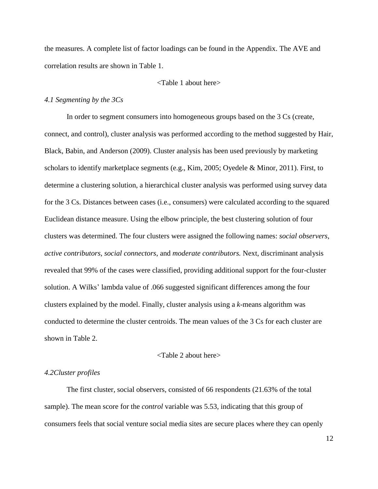the measures. A complete list of factor loadings can be found in the Appendix. The AVE and correlation results are shown in Table 1.

#### <Table 1 about here>

#### *4.1 Segmenting by the 3Cs*

In order to segment consumers into homogeneous groups based on the 3 Cs (create, connect, and control), cluster analysis was performed according to the method suggested by Hair, Black, Babin, and Anderson (2009). Cluster analysis has been used previously by marketing scholars to identify marketplace segments (e.g., Kim, 2005; Oyedele & Minor, 2011). First, to determine a clustering solution, a hierarchical cluster analysis was performed using survey data for the 3 Cs. Distances between cases (i.e., consumers) were calculated according to the squared Euclidean distance measure. Using the elbow principle, the best clustering solution of four clusters was determined. The four clusters were assigned the following names: *social observers*, *active contributors*, *social connectors*, and *moderate contributors.* Next, discriminant analysis revealed that 99% of the cases were classified, providing additional support for the four-cluster solution. A Wilks' lambda value of .066 suggested significant differences among the four clusters explained by the model. Finally, cluster analysis using a *k*-means algorithm was conducted to determine the cluster centroids. The mean values of the 3 Cs for each cluster are shown in Table 2.

#### <Table 2 about here>

#### *4.2Cluster profiles*

The first cluster, social observers*,* consisted of 66 respondents (21.63% of the total sample). The mean score for the *control* variable was 5.53, indicating that this group of consumers feels that social venture social media sites are secure places where they can openly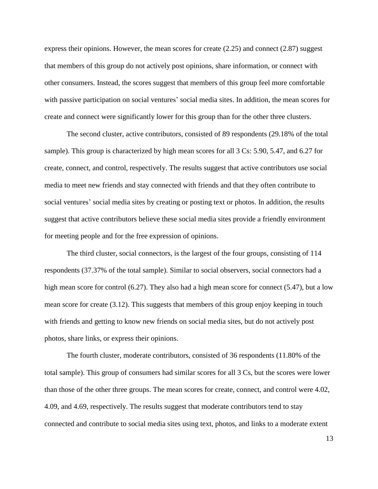express their opinions. However, the mean scores for create (2.25) and connect (2.87) suggest that members of this group do not actively post opinions, share information, or connect with other consumers. Instead, the scores suggest that members of this group feel more comfortable with passive participation on social ventures' social media sites. In addition, the mean scores for create and connect were significantly lower for this group than for the other three clusters.

The second cluster, active contributors, consisted of 89 respondents (29.18% of the total sample). This group is characterized by high mean scores for all 3 Cs: 5.90, 5.47, and 6.27 for create, connect, and control, respectively. The results suggest that active contributors use social media to meet new friends and stay connected with friends and that they often contribute to social ventures' social media sites by creating or posting text or photos. In addition, the results suggest that active contributors believe these social media sites provide a friendly environment for meeting people and for the free expression of opinions.

The third cluster, social connectors, is the largest of the four groups, consisting of 114 respondents (37.37% of the total sample). Similar to social observers, social connectors had a high mean score for control (6.27). They also had a high mean score for connect (5.47), but a low mean score for create (3.12). This suggests that members of this group enjoy keeping in touch with friends and getting to know new friends on social media sites, but do not actively post photos, share links, or express their opinions.

The fourth cluster, moderate contributors, consisted of 36 respondents (11.80% of the total sample). This group of consumers had similar scores for all 3 Cs, but the scores were lower than those of the other three groups. The mean scores for create, connect, and control were 4.02, 4.09, and 4.69, respectively. The results suggest that moderate contributors tend to stay connected and contribute to social media sites using text, photos, and links to a moderate extent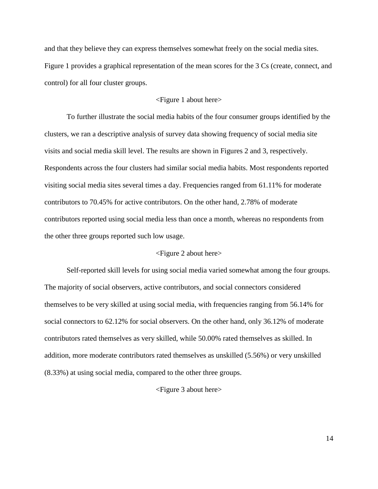and that they believe they can express themselves somewhat freely on the social media sites. Figure 1 provides a graphical representation of the mean scores for the 3 Cs (create, connect, and control) for all four cluster groups.

## <Figure 1 about here>

To further illustrate the social media habits of the four consumer groups identified by the clusters, we ran a descriptive analysis of survey data showing frequency of social media site visits and social media skill level. The results are shown in Figures 2 and 3, respectively. Respondents across the four clusters had similar social media habits. Most respondents reported visiting social media sites several times a day. Frequencies ranged from 61.11% for moderate contributors to 70.45% for active contributors. On the other hand, 2.78% of moderate contributors reported using social media less than once a month, whereas no respondents from the other three groups reported such low usage.

## <Figure 2 about here>

Self-reported skill levels for using social media varied somewhat among the four groups. The majority of social observers, active contributors, and social connectors considered themselves to be very skilled at using social media, with frequencies ranging from 56.14% for social connectors to 62.12% for social observers. On the other hand, only 36.12% of moderate contributors rated themselves as very skilled, while 50.00% rated themselves as skilled. In addition, more moderate contributors rated themselves as unskilled (5.56%) or very unskilled (8.33%) at using social media, compared to the other three groups.

#### <Figure 3 about here>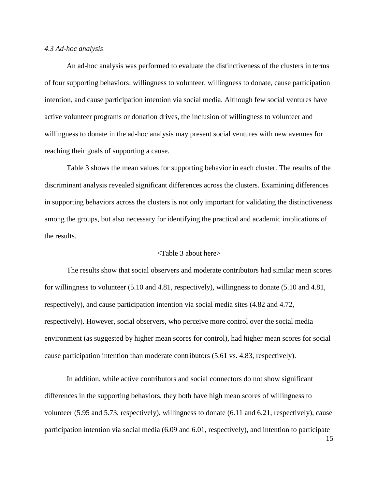#### *4.3 Ad-hoc analysis*

An ad-hoc analysis was performed to evaluate the distinctiveness of the clusters in terms of four supporting behaviors: willingness to volunteer, willingness to donate, cause participation intention, and cause participation intention via social media. Although few social ventures have active volunteer programs or donation drives, the inclusion of willingness to volunteer and willingness to donate in the ad-hoc analysis may present social ventures with new avenues for reaching their goals of supporting a cause.

Table 3 shows the mean values for supporting behavior in each cluster. The results of the discriminant analysis revealed significant differences across the clusters. Examining differences in supporting behaviors across the clusters is not only important for validating the distinctiveness among the groups, but also necessary for identifying the practical and academic implications of the results.

#### <Table 3 about here>

The results show that social observers and moderate contributors had similar mean scores for willingness to volunteer (5.10 and 4.81, respectively), willingness to donate (5.10 and 4.81, respectively), and cause participation intention via social media sites (4.82 and 4.72, respectively). However, social observers, who perceive more control over the social media environment (as suggested by higher mean scores for control), had higher mean scores for social cause participation intention than moderate contributors (5.61 vs. 4.83, respectively).

In addition, while active contributors and social connectors do not show significant differences in the supporting behaviors, they both have high mean scores of willingness to volunteer (5.95 and 5.73, respectively), willingness to donate (6.11 and 6.21, respectively), cause participation intention via social media (6.09 and 6.01, respectively), and intention to participate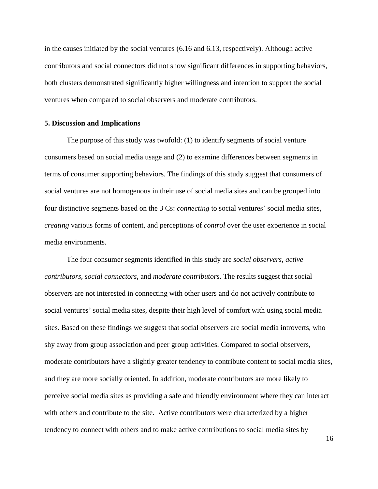in the causes initiated by the social ventures (6.16 and 6.13, respectively). Although active contributors and social connectors did not show significant differences in supporting behaviors, both clusters demonstrated significantly higher willingness and intention to support the social ventures when compared to social observers and moderate contributors.

#### **5. Discussion and Implications**

The purpose of this study was twofold: (1) to identify segments of social venture consumers based on social media usage and (2) to examine differences between segments in terms of consumer supporting behaviors. The findings of this study suggest that consumers of social ventures are not homogenous in their use of social media sites and can be grouped into four distinctive segments based on the 3 Cs: *connecting* to social ventures' social media sites, *creating* various forms of content, and perceptions of *control* over the user experience in social media environments.

The four consumer segments identified in this study are *social observers, active contributors, social connectors*, and *moderate contributors*. The results suggest that social observers are not interested in connecting with other users and do not actively contribute to social ventures' social media sites, despite their high level of comfort with using social media sites. Based on these findings we suggest that social observers are social media introverts, who shy away from group association and peer group activities. Compared to social observers, moderate contributors have a slightly greater tendency to contribute content to social media sites, and they are more socially oriented. In addition, moderate contributors are more likely to perceive social media sites as providing a safe and friendly environment where they can interact with others and contribute to the site. Active contributors were characterized by a higher tendency to connect with others and to make active contributions to social media sites by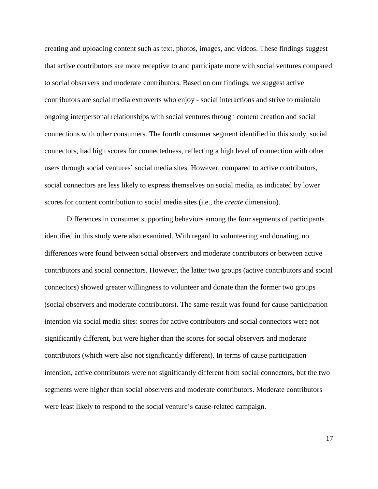creating and uploading content such as text, photos, images, and videos. These findings suggest that active contributors are more receptive to and participate more with social ventures compared to social observers and moderate contributors. Based on our findings, we suggest active contributors are social media extroverts who enjoy - social interactions and strive to maintain ongoing interpersonal relationships with social ventures through content creation and social connections with other consumers. The fourth consumer segment identified in this study, social connectors, had high scores for connectedness, reflecting a high level of connection with other users through social ventures' social media sites. However, compared to active contributors, social connectors are less likely to express themselves on social media, as indicated by lower scores for content contribution to social media sites (i.e., the *create* dimension).

Differences in consumer supporting behaviors among the four segments of participants identified in this study were also examined. With regard to volunteering and donating, no differences were found between social observers and moderate contributors or between active contributors and social connectors. However, the latter two groups (active contributors and social connectors) showed greater willingness to volunteer and donate than the former two groups (social observers and moderate contributors). The same result was found for cause participation intention via social media sites: scores for active contributors and social connectors were not significantly different, but were higher than the scores for social observers and moderate contributors (which were also not significantly different). In terms of cause participation intention, active contributors were not significantly different from social connectors, but the two segments were higher than social observers and moderate contributors. Moderate contributors were least likely to respond to the social venture's cause-related campaign.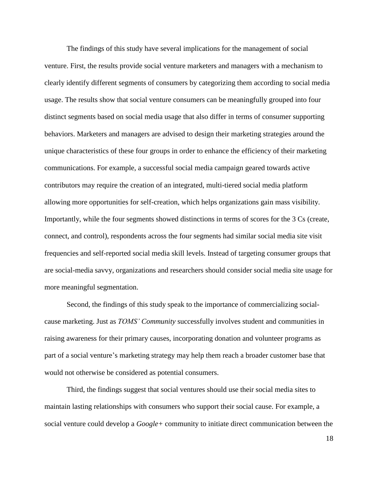The findings of this study have several implications for the management of social venture. First, the results provide social venture marketers and managers with a mechanism to clearly identify different segments of consumers by categorizing them according to social media usage. The results show that social venture consumers can be meaningfully grouped into four distinct segments based on social media usage that also differ in terms of consumer supporting behaviors. Marketers and managers are advised to design their marketing strategies around the unique characteristics of these four groups in order to enhance the efficiency of their marketing communications. For example, a successful social media campaign geared towards active contributors may require the creation of an integrated, multi-tiered social media platform allowing more opportunities for self-creation, which helps organizations gain mass visibility. Importantly, while the four segments showed distinctions in terms of scores for the 3 Cs (create, connect, and control), respondents across the four segments had similar social media site visit frequencies and self-reported social media skill levels. Instead of targeting consumer groups that are social-media savvy, organizations and researchers should consider social media site usage for more meaningful segmentation.

Second, the findings of this study speak to the importance of commercializing socialcause marketing. Just as *TOMS' Community* successfully involves student and communities in raising awareness for their primary causes, incorporating donation and volunteer programs as part of a social venture's marketing strategy may help them reach a broader customer base that would not otherwise be considered as potential consumers.

Third, the findings suggest that social ventures should use their social media sites to maintain lasting relationships with consumers who support their social cause. For example, a social venture could develop a *Google+* community to initiate direct communication between the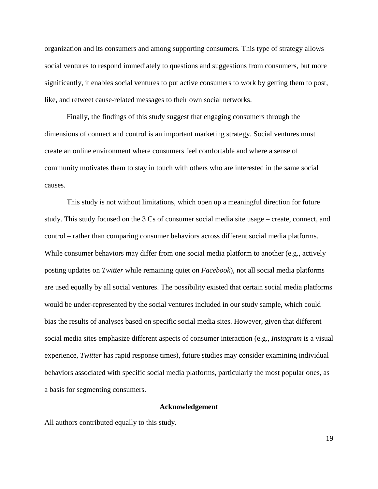organization and its consumers and among supporting consumers. This type of strategy allows social ventures to respond immediately to questions and suggestions from consumers, but more significantly, it enables social ventures to put active consumers to work by getting them to post, like, and retweet cause-related messages to their own social networks.

Finally, the findings of this study suggest that engaging consumers through the dimensions of connect and control is an important marketing strategy. Social ventures must create an online environment where consumers feel comfortable and where a sense of community motivates them to stay in touch with others who are interested in the same social causes.

This study is not without limitations, which open up a meaningful direction for future study. This study focused on the 3 Cs of consumer social media site usage – create, connect, and control – rather than comparing consumer behaviors across different social media platforms. While consumer behaviors may differ from one social media platform to another (e.g., actively posting updates on *Twitter* while remaining quiet on *Facebook*), not all social media platforms are used equally by all social ventures. The possibility existed that certain social media platforms would be under-represented by the social ventures included in our study sample, which could bias the results of analyses based on specific social media sites. However, given that different social media sites emphasize different aspects of consumer interaction (e.g., *Instagram* is a visual experience, *Twitter* has rapid response times), future studies may consider examining individual behaviors associated with specific social media platforms, particularly the most popular ones, as a basis for segmenting consumers.

# **Acknowledgement**

All authors contributed equally to this study.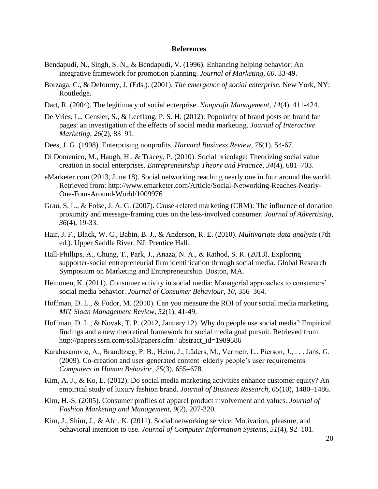#### **References**

- Bendapudi, N., Singh, S. N., & Bendapudi, V. (1996). Enhancing helping behavior: An integrative framework for promotion planning. *Journal of Marketing, 60*, 33-49.
- Borzaga, C., & Defourny, J. (Eds.). (2001). *The emergence of social enterprise.* New York, NY: Routledge.
- Dart, R. (2004). The legitimacy of social enterprise. *Nonprofit Management*, *14*(4), 411-424.
- De Vries, L., Gensler, S., & Leeflang, P. S. H. (2012). Popularity of brand posts on brand fan pages: an investigation of the effects of social media marketing. *Journal of Interactive Marketing, 26*(2), 83–91.
- Dees, J. G. (1998). Enterprising nonprofits. *Harvard Business Review*, *76*(1), 54-67.
- Di Domenico, M., Haugh, H., & Tracey, P. (2010). Social bricolage: Theorizing social value creation in social enterprises. *Entrepreneurship Theory and Practice*, *34*(4), 681–703.
- eMarketer.com (2013, June 18). Social networking reaching nearly one in four around the world. Retrieved from: http://www.emarketer.com/Article/Social-Networking-Reaches-Nearly-One-Four-Around-World/1009976
- Grau, S. L., & Folse, J. A. G. (2007). Cause-related marketing (CRM): The influence of donation proximity and message-framing cues on the less-involved consumer. *Journal of Advertising*, *36*(4), 19-33.
- Hair, J. F., Black, W. C., Babin, B. J., & Anderson, R. E. (2010). *Multivariate data analysis* (7th ed.). Upper Saddle River, NJ: Prentice Hall.
- Hall-Phillips, A., Chung, T., Park, J., Anaza, N. A., & Rathod, S. R. (2013). Exploring supporter-social entrepreneurial firm identification through social media. Global Research Symposium on Marketing and Entrepreneurship. Boston, MA.
- Heinonen, K. (2011). Consumer activity in social media: Managerial approaches to consumers' social media behavior. *Journal of Consumer Behaviour*, *10*, 356–364.
- Hoffman, D. L., & Fodor, M. (2010). Can you measure the ROI of your social media marketing. *MIT Sloan Management Review, 52*(1), 41-49.
- Hoffman, D. L., & Novak, T. P. (2012, January 12). Why do people use social media? Empirical findings and a new theoretical framework for social media goal pursuit. Retrieved from: http://papers.ssrn.com/sol3/papers.cfm? abstract\_id=1989586
- Karahasanović, A., Brandtzæg, P. B., Heim, J., Lüders, M., Vermeir, L., Pierson, J., . . . Jans, G. (2009). Co-creation and user-generated content–elderly people's user requirements. *Computers in Human Behavior*, *25*(3), 655–678.
- Kim, A. J., & Ko, E. (2012). Do social media marketing activities enhance customer equity? An empirical study of luxury fashion brand. *Journal of Business Research, 65*(10), 1480–1486.
- Kim, H.-S. (2005). Consumer profiles of apparel product involvement and values*. Journal of Fashion Marketing and Management, 9*(2), 207-220.
- Kim, J., Shim, J., & Ahn, K. (2011). Social networking service: Motivation, pleasure, and behavioral intention to use. *Journal of Computer Information Systems*, *51*(4), 92–101.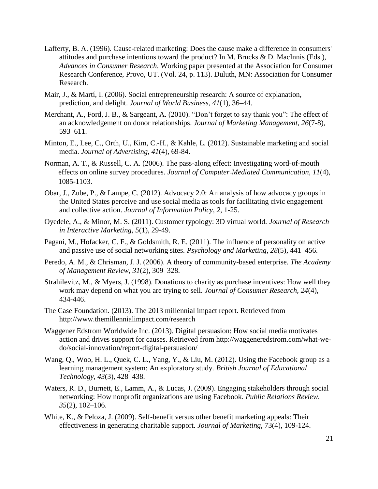- Lafferty, B. A. (1996). Cause-related marketing: Does the cause make a difference in consumers' attitudes and purchase intentions toward the product? In M. Brucks  $\&$  D. MacInnis (Eds.), *Advances in Consumer Research*. Working paper presented at the Association for Consumer Research Conference, Provo, UT. (Vol. 24, p. 113). Duluth, MN: Association for Consumer Research.
- Mair, J., & Martí, I. (2006). Social entrepreneurship research: A source of explanation, prediction, and delight. *Journal of World Business*, *41*(1), 36–44.
- Merchant, A., Ford, J. B., & Sargeant, A. (2010). "Don't forget to say thank you": The effect of an acknowledgement on donor relationships. *Journal of Marketing Management*, *26*(7-8), 593–611.
- Minton, E., Lee, C., Orth, U., Kim, C.-H., & Kahle, L. (2012). Sustainable marketing and social media. *Journal of Advertising, 41*(4), 69-84.
- Norman, A. T., & Russell, C. A. (2006). The pass-along effect: Investigating word-of-mouth effects on online survey procedures. *Journal of Computer*‐*Mediated Communication, 11*(4), 1085-1103.
- Obar, J., Zube, P., & Lampe, C. (2012). Advocacy 2.0: An analysis of how advocacy groups in the United States perceive and use social media as tools for facilitating civic engagement and collective action. *Journal of Information Policy*, *2*, 1-25.
- Oyedele, A., & Minor, M. S. (2011). Customer typology: 3D virtual world. *Journal of Research in Interactive Marketing, 5*(1), 29-49.
- Pagani, M., Hofacker, C. F., & Goldsmith, R. E. (2011). The influence of personality on active and passive use of social networking sites. *Psychology and Marketing*, *28*(5), 441–456.
- Peredo, A. M., & Chrisman, J. J. (2006). A theory of community-based enterprise. *The Academy of Management Review*, *31*(2), 309–328.
- Strahilevitz, M., & Myers, J. (1998). Donations to charity as purchase incentives: How well they work may depend on what you are trying to sell. *Journal of Consumer Research, 24*(4), 434-446.
- The Case Foundation. (2013). The 2013 millennial impact report. Retrieved from http://www.themillennialimpact.com/research
- Waggener Edstrom Worldwide Inc. (2013). Digital persuasion: How social media motivates action and drives support for causes. Retrieved from http://waggeneredstrom.com/what-wedo/social-innovation/report-digital-persuasion/
- Wang, Q., Woo, H. L., Quek, C. L., Yang, Y., & Liu, M. (2012). Using the Facebook group as a learning management system: An exploratory study. *British Journal of Educational Technology*, *43*(3), 428–438.
- Waters, R. D., Burnett, E., Lamm, A., & Lucas, J. (2009). Engaging stakeholders through social networking: How nonprofit organizations are using Facebook. *Public Relations Review*, *35*(2), 102–106.
- White, K., & Peloza, J. (2009). Self-benefit versus other benefit marketing appeals: Their effectiveness in generating charitable support. *Journal of Marketing*, 73(4), 109-124.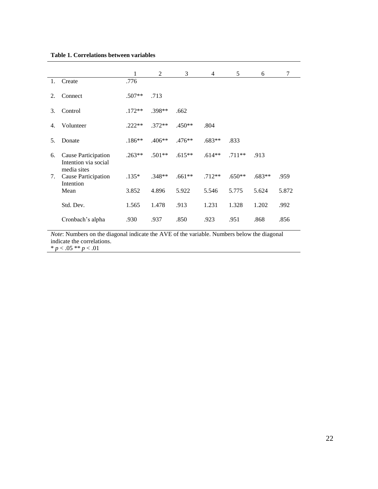|     |                                                            | 1        | 2        | 3        | 4        | 5        | 6        | 7     |
|-----|------------------------------------------------------------|----------|----------|----------|----------|----------|----------|-------|
| 1.  | Create                                                     | .776     |          |          |          |          |          |       |
| 2.  | Connect                                                    | $.507**$ | .713     |          |          |          |          |       |
| 3.  | Control                                                    | $.172**$ | $.398**$ | .662     |          |          |          |       |
| 4.  | Volunteer                                                  | $.222**$ | $.372**$ | $.450**$ | .804     |          |          |       |
| .5. | Donate                                                     | $.186**$ | $.406**$ | $.476**$ | $.683**$ | .833     |          |       |
| 6.  | Cause Participation<br>Intention via social<br>media sites | $.263**$ | $.501**$ | $.615**$ | $.614**$ | $.711**$ | .913     |       |
| 7.  | Cause Participation<br>Intention                           | $.135*$  | $.348**$ | $.661**$ | $.712**$ | $.650**$ | $.683**$ | .959  |
|     | Mean                                                       | 3.852    | 4.896    | 5.922    | 5.546    | 5.775    | 5.624    | 5.872 |
|     | Std. Dev.                                                  | 1.565    | 1.478    | .913     | 1.231    | 1.328    | 1.202    | .992  |
|     | Cronbach's alpha                                           | .930     | .937     | .850     | .923     | .951     | .868     | .856  |

*Note*: Numbers on the diagonal indicate the AVE of the variable. Numbers below the diagonal indicate the correlations.

\* *p* < .05 \*\* *p* < .01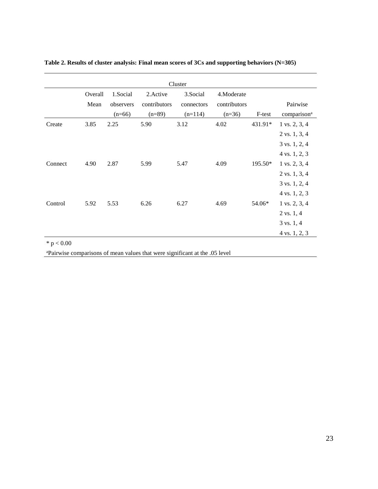| Cluster |                 |                                   |                                       |                                     |                                        |         |                                                                                                       |
|---------|-----------------|-----------------------------------|---------------------------------------|-------------------------------------|----------------------------------------|---------|-------------------------------------------------------------------------------------------------------|
|         | Overall<br>Mean | 1.Social<br>observers<br>$(n=66)$ | 2. Active<br>contributors<br>$(n=89)$ | 3.Social<br>connectors<br>$(n=114)$ | 4.Moderate<br>contributors<br>$(n=36)$ | F-test  | Pairwise<br>comparison <sup>a</sup>                                                                   |
| Create  | 3.85            | 2.25                              | 5.90                                  | 3.12                                | 4.02                                   | 431.91* | $1 \text{ vs. } 2, 3, 4$<br>$2 \text{ vs. } 1, 3, 4$<br>$3$ vs. $1, 2, 4$<br>$4 \text{ vs. } 1, 2, 3$ |
| Connect | 4.90            | 2.87                              | 5.99                                  | 5.47                                | 4.09                                   | 195.50* | $1 \text{ vs. } 2, 3, 4$<br>$2 \text{ vs. } 1, 3, 4$<br>$3$ vs. $1, 2, 4$<br>4 vs. 1, 2, 3            |
| Control | 5.92            | 5.53                              | 6.26                                  | 6.27                                | 4.69                                   | 54.06*  | $1 \text{ vs. } 2, 3, 4$<br>$2 \text{ vs. } 1, 4$<br>$3 \text{ vs. } 1, 4$<br>4 vs. 1, 2, 3           |

## **Table 2. Results of cluster analysis: Final mean scores of 3Cs and supporting behaviors (N=305)**

 $*$  p  $< 0.00$ 

<sup>a</sup>Pairwise comparisons of mean values that were significant at the .05 level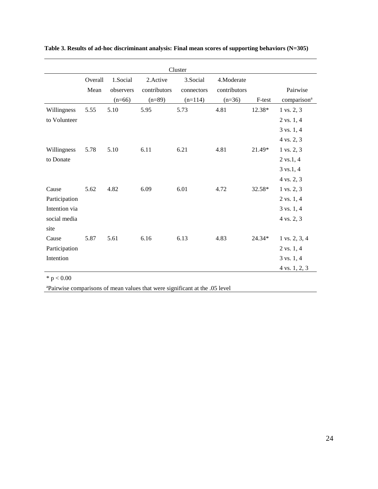| Cluster       |         |           |              |            |              |        |                          |
|---------------|---------|-----------|--------------|------------|--------------|--------|--------------------------|
|               | Overall | 1.Social  | 2. Active    | 3.Social   | 4.Moderate   |        |                          |
|               | Mean    | observers | contributors | connectors | contributors |        | Pairwise                 |
|               |         | $(n=66)$  | $(n=89)$     | $(n=114)$  | $(n=36)$     | F-test | comparison <sup>a</sup>  |
| Willingness   | 5.55    | 5.10      | 5.95         | 5.73       | 4.81         | 12.38* | 1 vs. 2, 3               |
| to Volunteer  |         |           |              |            |              |        | $2 \text{ vs. } 1, 4$    |
|               |         |           |              |            |              |        | $3 \text{ vs. } 1, 4$    |
|               |         |           |              |            |              |        | 4 vs. 2, 3               |
| Willingness   | 5.78    | 5.10      | 6.11         | 6.21       | 4.81         | 21.49* | 1 vs. 2, 3               |
| to Donate     |         |           |              |            |              |        | $2 \text{ vs. } 1, 4$    |
|               |         |           |              |            |              |        | $3 \text{ vs. } 1, 4$    |
|               |         |           |              |            |              |        | 4 vs. 2, 3               |
| Cause         | 5.62    | 4.82      | 6.09         | 6.01       | 4.72         | 32.58* | 1 vs. 2, 3               |
| Participation |         |           |              |            |              |        | $2 \text{ vs. } 1, 4$    |
| Intention via |         |           |              |            |              |        | 3 vs. 1, 4               |
| social media  |         |           |              |            |              |        | 4 vs. 2, 3               |
| site          |         |           |              |            |              |        |                          |
| Cause         | 5.87    | 5.61      | 6.16         | 6.13       | 4.83         | 24.34* | $1 \text{ vs. } 2, 3, 4$ |
| Participation |         |           |              |            |              |        | $2 \text{ vs. } 1, 4$    |
| Intention     |         |           |              |            |              |        | $3 \text{ vs. } 1, 4$    |
|               |         |           |              |            |              |        | 4 vs. 1, 2, 3            |

**Table 3. Results of ad-hoc discriminant analysis: Final mean scores of supporting behaviors (N=305)**

 $*$  p  $< 0.00$ 

<sup>a</sup>Pairwise comparisons of mean values that were significant at the .05 level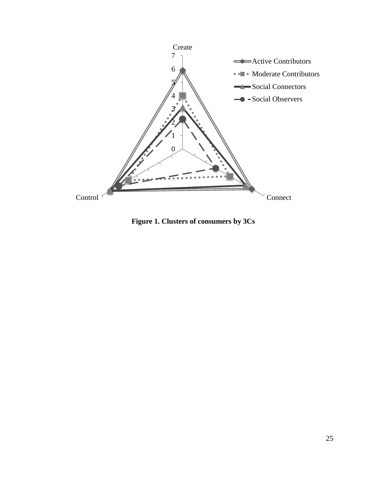

**Figure 1. Clusters of consumers by 3Cs**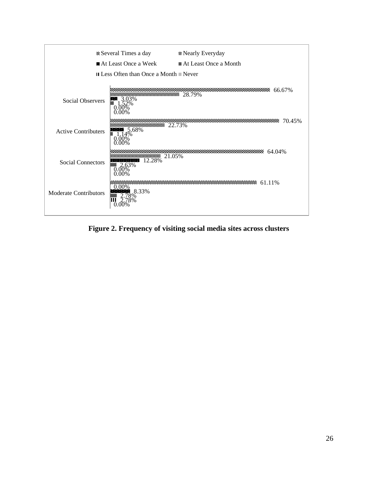

**Figure 2. Frequency of visiting social media sites across clusters**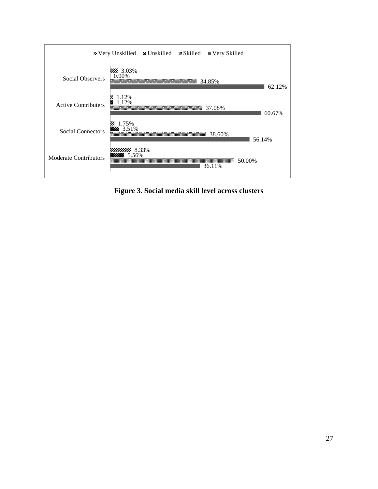

**Figure 3. Social media skill level across clusters**